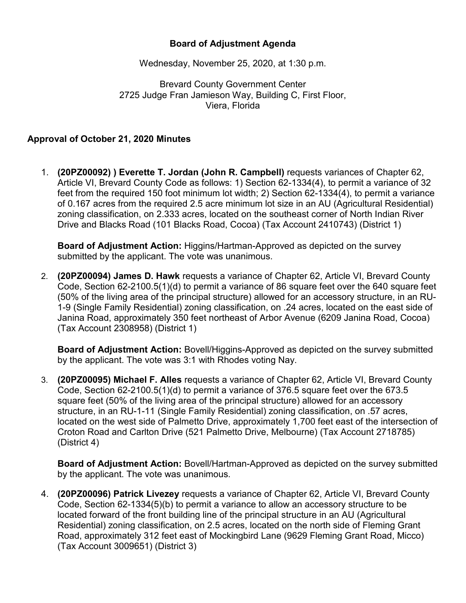## **Board of Adjustment Agenda**

Wednesday, November 25, 2020, at 1:30 p.m.

Brevard County Government Center 2725 Judge Fran Jamieson Way, Building C, First Floor, Viera, Florida

## **Approval of October 21, 2020 Minutes**

1. **(20PZ00092) ) Everette T. Jordan (John R. Campbell)** requests variances of Chapter 62, Article VI, Brevard County Code as follows: 1) Section 62-1334(4), to permit a variance of 32 feet from the required 150 foot minimum lot width; 2) Section 62-1334(4), to permit a variance of 0.167 acres from the required 2.5 acre minimum lot size in an AU (Agricultural Residential) zoning classification, on 2.333 acres, located on the southeast corner of North Indian River Drive and Blacks Road (101 Blacks Road, Cocoa) (Tax Account 2410743) (District 1)

**Board of Adjustment Action:** Higgins/Hartman-Approved as depicted on the survey submitted by the applicant. The vote was unanimous.

2. **(20PZ00094) James D. Hawk** requests a variance of Chapter 62, Article VI, Brevard County Code, Section 62-2100.5(1)(d) to permit a variance of 86 square feet over the 640 square feet (50% of the living area of the principal structure) allowed for an accessory structure, in an RU-1-9 (Single Family Residential) zoning classification, on .24 acres, located on the east side of Janina Road, approximately 350 feet northeast of Arbor Avenue (6209 Janina Road, Cocoa) (Tax Account 2308958) (District 1)

**Board of Adjustment Action:** Bovell/Higgins-Approved as depicted on the survey submitted by the applicant. The vote was 3:1 with Rhodes voting Nay.

3. **(20PZ00095) Michael F. Alles** requests a variance of Chapter 62, Article VI, Brevard County Code, Section 62-2100.5(1)(d) to permit a variance of 376.5 square feet over the 673.5 square feet (50% of the living area of the principal structure) allowed for an accessory structure, in an RU-1-11 (Single Family Residential) zoning classification, on .57 acres, located on the west side of Palmetto Drive, approximately 1,700 feet east of the intersection of Croton Road and Carlton Drive (521 Palmetto Drive, Melbourne) (Tax Account 2718785) (District 4)

**Board of Adjustment Action:** Bovell/Hartman-Approved as depicted on the survey submitted by the applicant. The vote was unanimous.

4. **(20PZ00096) Patrick Livezey** requests a variance of Chapter 62, Article VI, Brevard County Code, Section 62-1334(5)(b) to permit a variance to allow an accessory structure to be located forward of the front building line of the principal structure in an AU (Agricultural Residential) zoning classification, on 2.5 acres, located on the north side of Fleming Grant Road, approximately 312 feet east of Mockingbird Lane (9629 Fleming Grant Road, Micco) (Tax Account 3009651) (District 3)